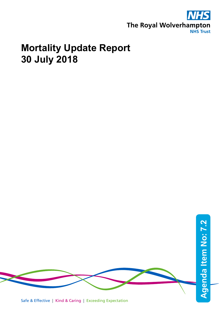

# **Mortality Update Report 30 July 2018**

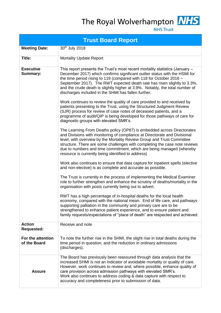The Royal Wolverhampton MHS



**NHS Trust** 

|                                    | <b>Trust Board Report</b>                                                                                                                                                                                                                                                                                                                                                                                                                              |  |  |  |  |  |
|------------------------------------|--------------------------------------------------------------------------------------------------------------------------------------------------------------------------------------------------------------------------------------------------------------------------------------------------------------------------------------------------------------------------------------------------------------------------------------------------------|--|--|--|--|--|
| <b>Meeting Date:</b>               | 30 <sup>th</sup> July 2018                                                                                                                                                                                                                                                                                                                                                                                                                             |  |  |  |  |  |
| Title:                             | <b>Mortality Update Report</b>                                                                                                                                                                                                                                                                                                                                                                                                                         |  |  |  |  |  |
| <b>Executive</b><br>Summary:       | This report presents the Trust's most recent mortality statistics (January -<br>December 2017) which confirms significant outlier status with the HSMI for<br>the time period rising to 119 (compared with 118 for October 2016 $-$<br>September 2017). The RWT expected death rate has risen slightly to 3.3%,<br>and the crude death is slightly higher at 3.9%. Notably, the total number of<br>discharges included in the SHMI has fallen further. |  |  |  |  |  |
|                                    | Work continues to review the quality of care provided to and received by<br>patients presenting to the Trust, using the Structured Judgment Review<br>(SJR) process for review of case notes of deceased patients, and a<br>programme of audit/QIP is being developed for those pathways of care for<br>diagnostic groups with elevated SMR's.                                                                                                         |  |  |  |  |  |
|                                    | The Learning From Deaths policy (OP87) is embedded across Directorates<br>and Divisions with monitoring of compliance at Directorate and Divisional<br>level, with overview by the Mortality Review Group and Trust Committee<br>structure. There are some challenges with completing the case note reviews<br>due to numbers and time commitment, which are being managed (whereby<br>resource is currently being identified to address)              |  |  |  |  |  |
|                                    | Work also continues to ensure that data capture for inpatient spells (elective<br>and non-elective) is as complete and accurate as possible.                                                                                                                                                                                                                                                                                                           |  |  |  |  |  |
|                                    | The Trust is currently in the process of implementing the Medical Examiner<br>role to further strengthen and enhance the scrutiny of deaths/mortality in the<br>organisation with posts currently being out to advert.                                                                                                                                                                                                                                 |  |  |  |  |  |
|                                    | RWT has a high percentage of in-hospital deaths for the local health<br>economy, compared with the national mean. End of life care, and pathways<br>supporting palliation in the community and primary care are to be<br>strengthened to enhance patient experience, and to ensure patient and<br>family requests/expectations of "place of death" are respected and achieved.                                                                         |  |  |  |  |  |
| <b>Action</b><br><b>Requested:</b> | Receive and note                                                                                                                                                                                                                                                                                                                                                                                                                                       |  |  |  |  |  |
| For the attention<br>of the Board  | To note the further rise in the SHMI, the slight rise in total deaths during the<br>time period in question, and the reduction in ordinary admissions<br>(discharges).                                                                                                                                                                                                                                                                                 |  |  |  |  |  |
| <b>Assure</b>                      | The Board has previously been reassured through data analysis that the<br>increased SHMI is not an indicator of avoidable mortality or quality of care.<br>However, work continues to review and, where possible, enhance quality of<br>care provision across admission pathways with elevated SMR's.<br>Work also continues to address coding & data capture with respect to<br>accuracy and completeness prior to submission of data.                |  |  |  |  |  |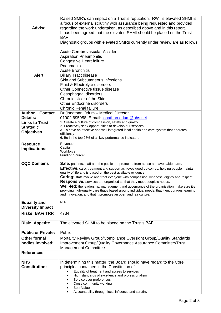| <b>Advise</b>                                                              | Raised SMR's can impact on a Trust's reputation. RWT's elevated SHMI is<br>a focus of external scrutiny with assurance being requested and provided<br>regarding the work undertaken, as described above and in this report.<br>It has been agreed that the elevated SHMI should be placed on the Trust<br><b>BAF</b>                                                                                                                                                                                                                                                                                                                                                                             |
|----------------------------------------------------------------------------|---------------------------------------------------------------------------------------------------------------------------------------------------------------------------------------------------------------------------------------------------------------------------------------------------------------------------------------------------------------------------------------------------------------------------------------------------------------------------------------------------------------------------------------------------------------------------------------------------------------------------------------------------------------------------------------------------|
| <b>Alert</b>                                                               | Diagnostic groups with elevated SMRs currently under review are as follows:<br>Acute Cerebrovascular Accident<br><b>Aspiration Pneumonitis</b><br>Congestive Heart failure<br>Pneumonia<br><b>Acute Bronchitis</b><br><b>Biliary Tract disease</b><br>Skin and Subcutaneous infections<br>Fluid & Electrolyte disorders<br>Other Connective tissue disease<br>Oesophageal disorders<br><b>Chronic Ulcer of the Skin</b><br><b>Other Endocrine disorders</b><br><b>Chronic Renal failure</b>                                                                                                                                                                                                       |
| <b>Author + Contact</b>                                                    | Dr Jonathan Odum - Medical Director                                                                                                                                                                                                                                                                                                                                                                                                                                                                                                                                                                                                                                                               |
| Details:<br><b>Links to Trust</b><br><b>Strategic</b><br><b>Objectives</b> | 01902 695958 E-mail: jonathan.odum@nhs.net<br>1. Create a culture of compassion, safety and quality<br>2. Proactively seek opportunities to develop our services<br>3. To have an effective and well integrated local health and care system that operates<br>efficiently<br>6. Be in the top 25% of all key performance indicators                                                                                                                                                                                                                                                                                                                                                               |
| <b>Resource</b><br>Implications:                                           | Revenue:<br>Capital:<br>Workforce:<br>Funding Source:                                                                                                                                                                                                                                                                                                                                                                                                                                                                                                                                                                                                                                             |
| <b>CQC Domains</b>                                                         | <b>Safe:</b> patients, staff and the public are protected from abuse and avoidable harm.<br><b>Effective:</b> care, treatment and support achieves good outcomes, helping people maintain<br>quality of life and is based on the best available evidence.<br><b>Caring:</b> staff involve and treat everyone with compassion, kindness, dignity and respect.<br>Responsive: services are organised so that they meet people's needs.<br>Well-led: the leadership, management and governance of the organisation make sure it's<br>providing high-quality care that's based around individual needs, that it encourages learning<br>and innovation, and that it promotes an open and fair culture. |
| <b>Equality and</b><br><b>Diversity Impact</b>                             | N/A                                                                                                                                                                                                                                                                                                                                                                                                                                                                                                                                                                                                                                                                                               |
| <b>Risks: BAF/TRR</b>                                                      | 4734                                                                                                                                                                                                                                                                                                                                                                                                                                                                                                                                                                                                                                                                                              |
| <b>Risk: Appetite</b>                                                      | The elevated SHMI to be placed on the Trust's BAF.                                                                                                                                                                                                                                                                                                                                                                                                                                                                                                                                                                                                                                                |
| <b>Public or Private:</b>                                                  | Public                                                                                                                                                                                                                                                                                                                                                                                                                                                                                                                                                                                                                                                                                            |
| <b>Other formal</b><br>bodies involved:                                    | Mortality Review Group/Compliance Oversight Group/Quality Standards<br>Improvement Group/Quality Governance Assurance Committee/Trust<br><b>Management Committee</b>                                                                                                                                                                                                                                                                                                                                                                                                                                                                                                                              |
| <b>References</b>                                                          |                                                                                                                                                                                                                                                                                                                                                                                                                                                                                                                                                                                                                                                                                                   |
| <b>NHS</b><br><b>Constitution:</b>                                         | In determining this matter, the Board should have regard to the Core<br>principles contained in the Constitution of:<br>Equality of treatment and access to services<br>High standards of excellence and professionalism<br>Service user preferences<br>Cross community working<br><b>Best Value</b><br>Accountability through local influence and scrutiny                                                                                                                                                                                                                                                                                                                                       |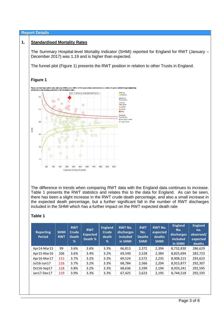# **Report Details**

# **1. Standardised Mortality Rates**

The Summary Hospital-level Mortality Indicator (SHMI) reported for England for RWT (January – December 2017) was 1.19 and is higher than expected.

The funnel plot (Figure 1) presents the RWT position in relation to other Trusts in England.

# **Figure 1**



The difference in trends when comparing RWT data with the England data continues to increase. Table 1 presents the RWT statistics and relates this to the data for England. As can be seen, there has been a slight increase in the RWT crude death percentage, and also a small increase in the expected death percentage, but a further significant fall in the number of RWT discharges included in the SHMI which has a further impact on the RWT expected death rate

#### **Table 1**

| <b>Reporting</b><br>Period | <b>SHMI</b><br><b>RWT</b> | <b>RWT</b><br><b>Crude</b><br>Death<br>% | <b>RWT</b><br><b>Expected</b><br>Death % | <b>England</b><br><b>Crude</b><br>death<br>% | <b>RWT No.</b><br>discharges<br>included<br>in SHMI | <b>RWT</b><br>No.<br><b>Deaths</b><br><b>SHMI</b> | <b>RWT No.</b><br>expected<br>deaths<br><b>SHMI</b> | <b>England</b><br>No.<br>discharges<br>included<br>in SHMI | <b>England</b><br>no.<br>observed/<br>expected<br>deaths |
|----------------------------|---------------------------|------------------------------------------|------------------------------------------|----------------------------------------------|-----------------------------------------------------|---------------------------------------------------|-----------------------------------------------------|------------------------------------------------------------|----------------------------------------------------------|
| Apr14-Mar15                | 99                        | 3.6%                                     | 3.6%                                     | 3.3%                                         | 66,813                                              | 2,372                                             | 2,394                                               | 8,732,830                                                  | 286,629                                                  |
| Apr15-Mar16                | 106                       | 3.6%                                     | 3.4%                                     | 3.2%                                         | 69,540                                              | 2,528                                             | 2,384                                               | 8,825,694                                                  | 282,723                                                  |
| Apr16-Mar17                | 115                       | 3.7%                                     | 3.2%                                     | 3.3%                                         | 69,524                                              | 2,572                                             | 2,235                                               | 8,908,215                                                  | 293,623                                                  |
| Jul16-Jun17                | 116                       | 3.7%                                     | 3.2%                                     | 3.3%                                         | 68,784                                              | 2,566                                             | 2,204                                               | 8,915,877                                                  | 292,307                                                  |
| Oct16-Sep17                | 118                       | 3.8%                                     | 3.2%                                     | 3.3%                                         | 68,636                                              | 2,599                                             | 2,194                                               | 8,933,241                                                  | 292,595                                                  |
| Jan17-Dec17                | 119                       | 3.9%                                     | 3.3%                                     | 3.3%                                         | 67,425                                              | 2,623                                             | 2,195                                               | 8,744,518                                                  | 292,193                                                  |
|                            |                           |                                          |                                          |                                              |                                                     |                                                   |                                                     |                                                            |                                                          |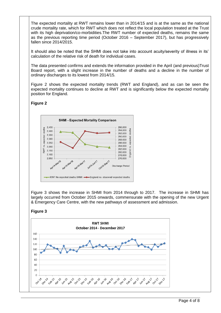The expected mortality at RWT remains lower than in 2014/15 and is at the same as the national crude mortality rate, which for RWT which does not reflect the local population treated at the Trust with its high deprivation/co-morbidities.The RWT number of expected deaths, remains the same as the previous reporting time period (October 2016 – September 2017), but has progressively fallen since 2014/2015.

It should also be noted that the SHMI does not take into account acuity/severity of illness in its' calculation of the relative risk of death for individual cases.

The data presented confirms and extends the information provided in the April (and previous)Trust Board report, with a slight increase in the number of deaths and a decline in the number of ordinary discharges to its lowest from 2014/15.

Figure 2 shows the expected mortality trends (RWT and England), and as can be seen the expected mortality continues to decline at RWT and is significantly below the expected mortality position for England.



**Figure 2**

Figure 3 shows the increase in SHMI from 2014 through to 2017. The increase in SHMI has largely occurred from October 2015 onwards, commensurate with the opening of the new Urgent & Emergency Care Centre, with the new pathways of assessment and admission.

**Figure 3**

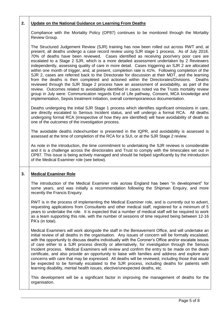# **2. Update on the National Guidance on Learning From Deaths**

Compliance with the Mortality Policy (OP87) continues to be monitored through the Mortality Review Group.

The Structured Judgement Review (SJR) training has now been rolled out across RWT and, at present, all deaths undergo a case record review using SJR stage 1 process. As of July 2018, 70% of deaths have been reviewed. Cases identified as receiving poor/very poor care are escalated to a Stage 2 SJR, which is a more detailed assessment undertaken by 2 Reviewers independently, assessing quality of care in more detail. Cases triggering an SJR 2 are allocated within one month of trigger, and, at present, completion rate is 41%. Following completion of the SJR 2, cases are referred back to the Directorate for discussion at their MDT, and the learning from the deaths is then completed and actioned within the Directorates/Divisions. Deaths reviewed through the SJR Stage 2 process have an assessment of avoidability, as part of the review. Outcomes related to avoidability identified in cases noted via the Trusts mortality review group in July were: Communication regards End of Life pathway, Consent, MCA knowledge and implementation, Sepsis treatment initiation, overall contemporaneous documentation.

Deaths undergoing the initial SJR Stage 1 process which identifies significant omissions in care, are directly escalated to Serious Incident status, and will undergo a formal RCA. All deaths undergoing formal RCA (irrespective of how they are identified) will have avoidability of death as one of the outcomes of the investigation process.

The avoidable deaths index/number is presented in the IQPR, and avoidability is assessed is assessed at the time of completion of the RCA for a SUI, or at the SJR Stage 2 review.

As note in the introduction, the time commitment to undertaking the SJR reviews is considerable and it is a challenge across the directorates and Trust to comply with the timescales set out in OP87. This issue is being actively managed and should be helped significantly by the introduction of the Medical Examiner role (see below).

# **3. Medical Examiner Role**

The introduction of the Medical Examiner role across England has been "in development" for some years, and was initially a recommendation following the Shipman Enquiry, and more recently the Francis Enquiry.

RWT is in the process of implementing the Medical Examiner role, and is currently out to advert, requesting applications from Consultants and other medical staff, registered for a minimum of 5 years to undertake the role. It is expected that a number of medical staff will be required to work as a team supporting this role, with the number of sessions of time required being between 12-16 PA's (in total).

Medical Examiners will work alongside the staff in the Bereavement Office, and will undertake an initial review of all deaths in the organisation. Any issues of concern will be formally escalated, with the opportunity to discuss deaths individually with the Coroner's Office and/or escalate issues of care either to a SJR process directly or alternatively, for investigation through the Serious Incident process. Medical Examiners will review and confirm the entry to be made on the death certificate, and also provide an opportunity to liaise with families and address and explore any concerns with care that may be expressed. All deaths will be reviewed, including those that would be expected to be formally escalated to the SJR process, including deaths for patients with learning disability, mental health issues, elective/unexpected deaths, etc.

This development will be a significant factor in improving the management of deaths for the organisation.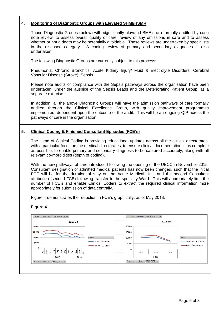| 4. | <b>Monitoring of Diagnostic Groups with Elevated SHMI/HSMR</b>                                                                                                                                                                                                                                                                                                                                                                                                                                                                                          |                                                                                      |  |  |  |  |  |  |  |  |
|----|---------------------------------------------------------------------------------------------------------------------------------------------------------------------------------------------------------------------------------------------------------------------------------------------------------------------------------------------------------------------------------------------------------------------------------------------------------------------------------------------------------------------------------------------------------|--------------------------------------------------------------------------------------|--|--|--|--|--|--|--|--|
|    | Those Diagnostic Groups (below) with significantly elevated SMR's are formally audited by case<br>note review, to assess overall quality of care, review of any omissions in care and to assess<br>whether or not a death may be potentially avoidable. These reviews are undertaken by specialists<br>in the diseased category. A coding review of primary and secondary diagnoses is also<br>undertaken.                                                                                                                                              |                                                                                      |  |  |  |  |  |  |  |  |
|    | The following Diagnostic Groups are currently subject to this process:                                                                                                                                                                                                                                                                                                                                                                                                                                                                                  |                                                                                      |  |  |  |  |  |  |  |  |
|    | Pneumonia; Chronic Bronchitis, Acute Kidney Injury/ Fluid & Electrolyte Disorders; Cerebral<br>Vascular Disease (Stroke); Sepsis.                                                                                                                                                                                                                                                                                                                                                                                                                       |                                                                                      |  |  |  |  |  |  |  |  |
|    | Please note audits of compliance with the Sepsis pathways across the organisation have been<br>undertaken, under the auspice of the Sepsis Leads and the Deteriorating Patient Group, as a<br>separate exercise.                                                                                                                                                                                                                                                                                                                                        |                                                                                      |  |  |  |  |  |  |  |  |
|    | In addition, all the above Diagnostic Groups will have the admission pathways of care formally<br>audited through the Clinical Excellence Group, with quality improvement programmes<br>implemented, dependent upon the outcome of the audit. This will be an ongoing QIP across the<br>pathways of care in the organisation.                                                                                                                                                                                                                           |                                                                                      |  |  |  |  |  |  |  |  |
| 5. | <b>Clinical Coding &amp; Finished Consultant Episodes (FCE's)</b>                                                                                                                                                                                                                                                                                                                                                                                                                                                                                       |                                                                                      |  |  |  |  |  |  |  |  |
|    | The Head of Clinical Coding is providing educational updates across all the clinical directorates,<br>with a particular focus on the medical directorates, to ensure clinical documentation is as complete<br>as possible, to enable primary and secondary diagnosis to be captured accurately, along with all<br>relevant co-morbidities (depth of coding).                                                                                                                                                                                            |                                                                                      |  |  |  |  |  |  |  |  |
|    | With the new pathways of care introduced following the opening of the UECC in November 2015,<br>Consultant designation of admitted medical patients has now been changed, such that the initial<br>FCE will be for the duration of stay on the Acute Medical Unit, and the second Consultant<br>attribution (second FCE) following transfer to the specialty Ward. This will appropriately limit the<br>number of FCE's and enable Clinical Coders to extract the required clinical information more<br>appropriately for submission of data centrally. |                                                                                      |  |  |  |  |  |  |  |  |
|    | Figure 4 demonstrates the reduction in FCE's graphically, as of May 2018.<br>Figure 4                                                                                                                                                                                                                                                                                                                                                                                                                                                                   |                                                                                      |  |  |  |  |  |  |  |  |
|    |                                                                                                                                                                                                                                                                                                                                                                                                                                                                                                                                                         | Count of CARESPELL Sum of FCE Count                                                  |  |  |  |  |  |  |  |  |
|    | Count of CARESPELL Sum of FCE Count<br>2017-18                                                                                                                                                                                                                                                                                                                                                                                                                                                                                                          | 2018-19                                                                              |  |  |  |  |  |  |  |  |
|    | 20000<br>15000                                                                                                                                                                                                                                                                                                                                                                                                                                                                                                                                          | 20000<br>15000                                                                       |  |  |  |  |  |  |  |  |
|    | 10000<br>Values<br>Count of CARESPELL<br>5000                                                                                                                                                                                                                                                                                                                                                                                                                                                                                                           | Values<br>10000<br>Count of CARESPELL                                                |  |  |  |  |  |  |  |  |
|    | Sum of FCE Count<br>o<br>Dec<br>Sep<br><b>Sel</b><br>$\mathbf{f}\mathbf{e}\mathbf{b}$<br>Aug<br>$\frac{8}{2}$<br>đ<br>Ε                                                                                                                                                                                                                                                                                                                                                                                                                                 | 5000<br>Sum of FCE Count<br>о                                                        |  |  |  |  |  |  |  |  |
|    | å<br>Šπ<br>λg<br>문<br>2018<br>2017                                                                                                                                                                                                                                                                                                                                                                                                                                                                                                                      | Jun<br>Apr<br>May<br>2018                                                            |  |  |  |  |  |  |  |  |
|    | Years $\blacktriangledown$ Months $\blacktriangledown$ ADM_DATE $\blacktriangledown$                                                                                                                                                                                                                                                                                                                                                                                                                                                                    | Years $\blacktriangledown$ Months $\blacktriangledown$ ADM_DATE $\blacktriangledown$ |  |  |  |  |  |  |  |  |
|    |                                                                                                                                                                                                                                                                                                                                                                                                                                                                                                                                                         |                                                                                      |  |  |  |  |  |  |  |  |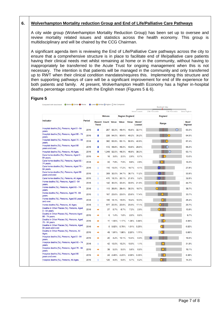# **6. Wolverhampton Mortality reduction Group and End of Life/Palliative Care Pathways**

red with benchmark © Better ● Similar ● Worse ● Lower ● Similar ● Higher ● Not Comp

A city wide group (Wolverhampton Mortality Reduction Group) has been set up to oversee and review mortality related issues and statistics across the health economy. This group is multidisciplinary and will be chaired by the CCG Chairman.

A significant agenda item is reviewing the End of Life/Palliative Care pathways across the city to ensure that a comprehensive structure is in place to facilitate end of life/palliative care patients having their clinical needs met whilst remaining at home or in the community, without having to inappropriately be transferred to the Acute Trust for ongoing management when this is not necessary. The intention is that patients will be managed in the community and only transferred up to RWT when their clinical condition mandates/requires this. Implementing this structure and then supporting pathways of care will be a significant improvement for end of life experience for both patients and family. At present, Wolverhampton Health Economy has a higher in-hospital deaths percentage compared with the English mean (Figures 5 & 6).

# **Figure 5**

|                                                                 | Period | <b>Wolves</b> |                           |         | <b>Region England</b> |       | <b>England</b>          |       |           |                                |  |
|-----------------------------------------------------------------|--------|---------------|---------------------------|---------|-----------------------|-------|-------------------------|-------|-----------|--------------------------------|--|
| Indicator                                                       |        | <b>Trend</b>  | <b>Recent Count Value</b> |         | Value                 | Value | <b>Worst/</b><br>Lowest | Range |           | <b>Best/</b><br><b>Highest</b> |  |
| Hospital deaths (%), Persons, Aged 0 - 64<br>years.             | 2016   | ı             | 267                       | 56.3%   | 48.4%                 | 45.6% | 32.1%                   |       | $\bigcap$ | 60.3%                          |  |
| Hospital deaths (%), Persons, Aged 65 - 74<br>years.            | 2016   | ı             | 228                       | 54.0%   | 50.6%                 | 49.2% | 35.2%                   |       |           | 64.5%                          |  |
| Hospital deaths (%), Persons, Aged 75 - 84<br>years.            | 2016   | ı             | 382                       | 53.9%   | 53.1%                 | 50.5% | 40.6%                   |       |           | 67.4%                          |  |
| Hospital deaths (%), Persons, Aged 85<br>years and over.        | 2016   | ı             | 472                       | 48.9%   | 46.3%                 | 43.8% | 29.8%                   |       |           | 66.3%                          |  |
| Hospital deaths (%), Persons, All Ages.                         | 2016   | ÷             | 1,349                     | 52.5%   | 49.3%                 | 46.9% | 38.3%                   |       |           | 63.1%                          |  |
| Care home deaths (%), Persons, Aged 0 -<br>64 years.            | 2016   | ÷             | 18                        | 3.8%    | 2.5%                  | 2.9%  | 0.7%                    |       |           | 13.0%                          |  |
| Care home deaths (%), Persons, Aged 65 -<br>74 years.           | 2016   | ÷             | 33                        | 7.8%    | 7.9%                  | 8.6%  | 2.6%                    |       |           | 19.2%                          |  |
| Care home deaths (%), Persons, Aged 75 -<br>84 years.           | 2016   | ٠             | 110                       | 15.5%   | 17.2%                 | 18.7% | 4.1%                    |       |           | 27.8%                          |  |
| Care home deaths (%), Persons, Aged 85<br>vears and over.       | 2016   | ٠             | 309                       | 32.0%   | 34.7%                 | 36.7% | 11.2%                   |       |           | 50.9%                          |  |
| Care home deaths (%), Persons, All Ages.                        | 2016   | ٠             | 470                       | 18.3%   | 20.1%                 | 21.8% | 5.2%                    |       |           | 32.8%                          |  |
| Home deaths (%), Persons, Aged 0 - 64<br>years.                 | 2016   | ٠             | 142                       | 30.0%   | 32.4%                 | 33.9% | 21.8%                   |       |           | 44.7%                          |  |
| Home deaths (%), Persons, Aged 65 - 74<br>years.                | 2016   | ٠             | 113                       | 26.8%   | 29.4%                 | 30.3% | 19.7%                   |       |           | 39.7%                          |  |
| Home deaths (%), Persons, Aged 75 - 84<br>years.                | 2016   | ٠             | 167                       | 23.6%   | 23.0%                 | 23.8% | 17.4%                   |       |           | 30.7%                          |  |
| Home deaths (%), Persons, Aged 85 years<br>and over.            | 2016   | ٠             | 155                       | 16.1%   | 15.9%                 | 16.4% | 10.0%                   |       |           | 28.4%                          |  |
| Home deaths (%), Persons, All Ages.                             | 2016   | ٠             | 577                       | 22.5%   | 22.8%                 | 23.5% | 17.1%                   |       |           | 29.7%                          |  |
| Deaths in Other Places (%), Persons, Aged<br>$0 - 64$ years.    | 2016   | ⇒             | 27                        | 5.7%    | 6.7%                  | 7.2%  | 2.6%                    |       |           | 13.9%                          |  |
| Deaths in Other Places (%), Persons Aged<br>65 - 74 years.      | 2016   | ⇒             | 6                         | 1.4%    | 1.8%                  | 2.0%  | 0.6%                    |       |           | 9.7%                           |  |
| Deaths in Other Places (%), Persons, Aged<br>75 - 84 years      | 2016   | ⇒             | 11                        | 1.55%   | 1.17%                 | 1.36% | 0.44%                   |       |           | 4.94%                          |  |
| Deaths in Other Places (%), Persons, Aged<br>85 years and over. | 2016   | ÷             |                           | 5 0.52% | 0.79%                 | 1.01% | 0.25%                   |       |           | 6.52%                          |  |
| Deaths in Other Places (%), Persons, All<br>Ages.               | 2016   | ⇒             | 49                        | 1.91%   | 1.98%                 | 2.20% | 1.11%                   |       |           | 6.66%                          |  |
| Hospice deaths (%), Persons, Aged 0 - 64<br>years.              | 2016   | ۰             | 20                        | 4.2%    | 10.1%                 | 10.4% | 0.9%                    |       |           | 18.5%                          |  |
| Hospice deaths (%), Persons, Aged 65 - 74<br>years.             | 2016   | ٠             | 42                        | 10.0%   | 10.2%                 | 10.0% | 1.1%                    |       |           | 31.9%                          |  |
| Hospice deaths (%), Persons, Aged 75 - 84<br>years.             | 2016   | ۰             | 39                        | 5.5%    | 5.5%                  | 5.6%  | 0.8%                    |       |           | 18.1%                          |  |
| Hospice deaths (%), Persons, Aged 85<br>years and over.         | 2016   | ÷             | 24                        | 2.49%   | 2.23%                 | 2.08% | 0.35%                   |       |           | 8.38%                          |  |
| Hospice deaths (%), Persons, All Ages.                          | 2016   | ٠             | 125                       | 4.9%    | 5.8%                  | 5.7%  | 0.2%                    |       |           | 14.3%                          |  |